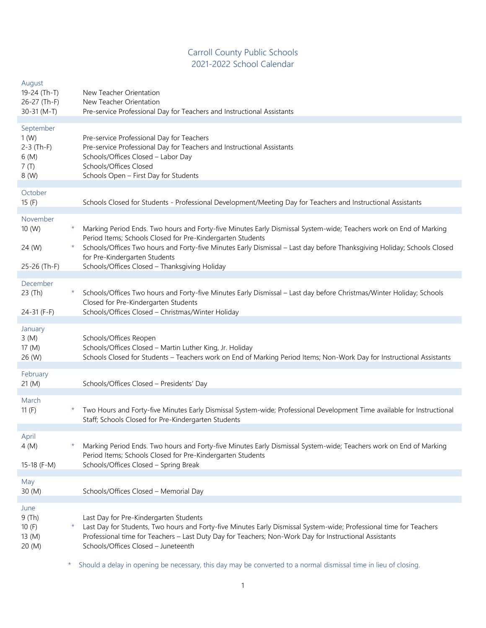# Carroll County Public Schools 2021-2022 School Calendar

| August<br>19-24 (Th-T)<br>26-27 (Th-F)<br>30-31 (M-T)      |         | New Teacher Orientation<br>New Teacher Orientation<br>Pre-service Professional Day for Teachers and Instructional Assistants                                                                                                                                                                                                                                                                  |
|------------------------------------------------------------|---------|-----------------------------------------------------------------------------------------------------------------------------------------------------------------------------------------------------------------------------------------------------------------------------------------------------------------------------------------------------------------------------------------------|
| September<br>1(W)<br>$2-3$ (Th-F)<br>6(M)<br>7(T)<br>8 (W) |         | Pre-service Professional Day for Teachers<br>Pre-service Professional Day for Teachers and Instructional Assistants<br>Schools/Offices Closed - Labor Day<br>Schools/Offices Closed<br>Schools Open - First Day for Students                                                                                                                                                                  |
| October<br>15(F)                                           |         | Schools Closed for Students - Professional Development/Meeting Day for Teachers and Instructional Assistants                                                                                                                                                                                                                                                                                  |
| November<br>10 (W)<br>24 (W)<br>25-26 (Th-F)               |         | Marking Period Ends. Two hours and Forty-five Minutes Early Dismissal System-wide; Teachers work on End of Marking<br>Period Items; Schools Closed for Pre-Kindergarten Students<br>Schools/Offices Two hours and Forty-five Minutes Early Dismissal - Last day before Thanksgiving Holiday; Schools Closed<br>for Pre-Kindergarten Students<br>Schools/Offices Closed - Thanksgiving Holiday |
| December<br>23 (Th)<br>24-31 (F-F)                         | *.      | Schools/Offices Two hours and Forty-five Minutes Early Dismissal - Last day before Christmas/Winter Holiday; Schools<br>Closed for Pre-Kindergarten Students<br>Schools/Offices Closed - Christmas/Winter Holiday                                                                                                                                                                             |
| January<br>3(M)<br>17 (M)<br>26 (W)                        |         | Schools/Offices Reopen<br>Schools/Offices Closed - Martin Luther King, Jr. Holiday<br>Schools Closed for Students - Teachers work on End of Marking Period Items; Non-Work Day for Instructional Assistants                                                                                                                                                                                   |
| February<br>21(M)                                          |         | Schools/Offices Closed - Presidents' Day                                                                                                                                                                                                                                                                                                                                                      |
| March<br>11 $(F)$                                          | $\star$ | Two Hours and Forty-five Minutes Early Dismissal System-wide; Professional Development Time available for Instructional<br>Staff; Schools Closed for Pre-Kindergarten Students                                                                                                                                                                                                                |
| April<br>4(M)<br>15-18 (F-M)                               |         | Marking Period Ends. Two hours and Forty-five Minutes Early Dismissal System-wide; Teachers work on End of Marking<br>Period Items; Schools Closed for Pre-Kindergarten Students<br>Schools/Offices Closed - Spring Break                                                                                                                                                                     |
| May<br>30 (M)                                              |         | Schools/Offices Closed - Memorial Day                                                                                                                                                                                                                                                                                                                                                         |
| June<br>9(Th)<br>10(F)<br>13 (M)<br>20(M)                  |         | Last Day for Pre-Kindergarten Students<br>Last Day for Students, Two hours and Forty-five Minutes Early Dismissal System-wide; Professional time for Teachers<br>Professional time for Teachers - Last Duty Day for Teachers; Non-Work Day for Instructional Assistants<br>Schools/Offices Closed - Juneteenth                                                                                |

\* Should a delay in opening be necessary, this day may be converted to a normal dismissal time in lieu of closing.